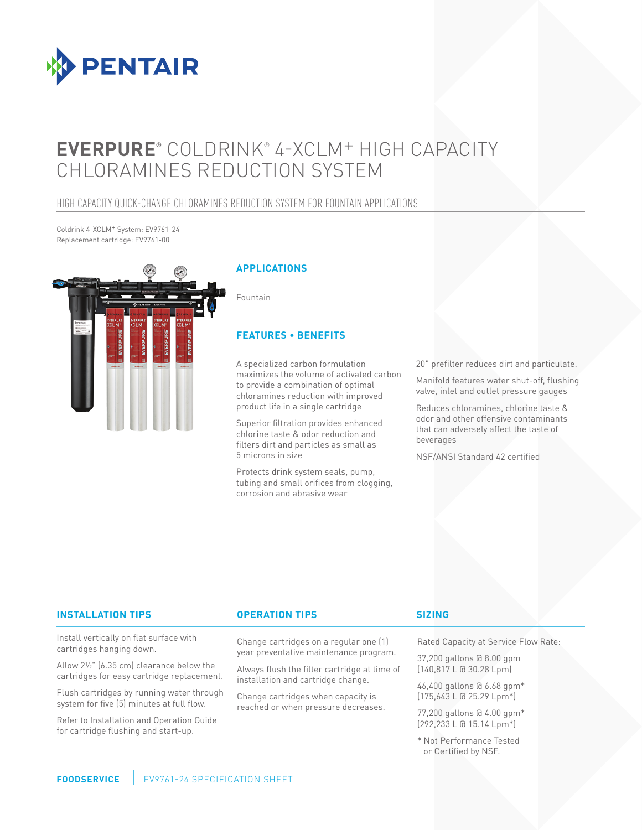

# **EVERPURE®** COLDRINK® 4-XCLM+ HIGH CAPACITY CHLORAMINES REDUCTION SYSTEM

### HIGH CAPACITY QUICK-CHANGE CHLORAMINES REDUCTION SYSTEM FOR FOUNTAIN APPLICATIONS

Coldrink 4-XCLM+ System: EV9761-24 Replacement cartridge: EV9761-00



#### **APPLICATIONS**

Fountain

#### **FEATURES • BENEFITS**

A specialized carbon formulation maximizes the volume of activated carbon to provide a combination of optimal chloramines reduction with improved product life in a single cartridge

Superior filtration provides enhanced chlorine taste & odor reduction and filters dirt and particles as small as 5 microns in size

Protects drink system seals, pump, tubing and small orifices from clogging, corrosion and abrasive wear

20" prefilter reduces dirt and particulate.

Manifold features water shut-off, flushing valve, inlet and outlet pressure gauges

Reduces chloramines, chlorine taste & odor and other offensive contaminants that can adversely affect the taste of beverages

NSF/ANSI Standard 42 certified

#### **INSTALLATION TIPS OPERATION TIPS**

Install vertically on flat surface with cartridges hanging down.

Allow 21 ⁄2" (6.35 cm) clearance below the cartridges for easy cartridge replacement.

Flush cartridges by running water through system for five (5) minutes at full flow.

Refer to Installation and Operation Guide for cartridge flushing and start-up.

Change cartridges on a regular one (1) year preventative maintenance program.

Always flush the filter cartridge at time of installation and cartridge change.

Change cartridges when capacity is reached or when pressure decreases.

#### **SIZING**

Rated Capacity at Service Flow Rate:

37,200 gallons @ 8.00 gpm (140,817 L @ 30.28 Lpm)

46,400 gallons @ 6.68 gpm\* (175,643 L @ 25.29 Lpm\*)

77,200 gallons @ 4.00 gpm\* (292,233 L @ 15.14 Lpm\*)

\* Not Performance Tested or Certified by NSF.